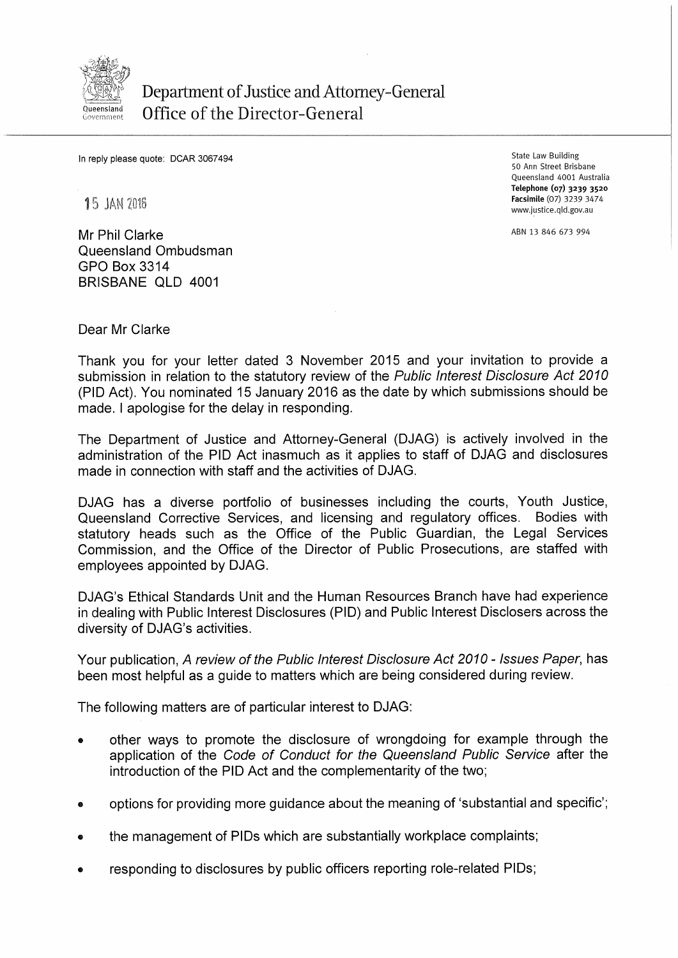

## Department of Justice and Attorney-General Office of the Director-General

In reply please quote: DCAR 3067494

**15 JAN 2016** 

Mr Phil Clarke Queensland Ombudsman GPO Box 3314 BRISBANE QLD 4001

State Law Building 50 Ann Street Brisbane Queensland 4001 Australia Telephone (07) 3239 3520 Facsimile (07) 3239 3474 www.justice.qld.gov.au

ABN 13 846 673 994

Dear Mr Clarke

Thank you for your letter dated 3 November 2015 and your invitation to provide a submission in relation to the statutory review of the Public Interest Disclosure Act 2010 (PIO Act). You nominated 15 January 2016 as the date by which submissions should be made. I apologise for the delay in responding.

The Department of Justice and Attorney-General (DJAG) is actively involved in the administration of the PIO Act inasmuch as it applies to staff of DJAG and disclosures made in connection with staff and the activities of DJAG.

DJAG has a diverse portfolio of businesses including the courts, Youth Justice, Queensland Corrective Services, and licensing and regulatory offices. Bodies with statutory heads such as the Office of the Public Guardian, the Legal Services Commission, and the Office of the Director of Public Prosecutions, are staffed with employees appointed by DJAG.

DJAG's Ethical Standards Unit and the Human Resources Branch have had experience in dealing with Public Interest Disclosures (PIO) and Public Interest Disclosers across the diversity of DJAG's activities.

Your publication, A review of the Public Interest Disclosure Act 2010- Issues Paper, has been most helpful as a guide to matters which are being considered during review.

The following matters are of particular interest to DJAG:

- other ways to promote the disclosure of wrongdoing for example through the application of the Code of Conduct for the Queensland Public Service after the introduction of the PIO Act and the complementarity of the two;
- options for providing more guidance about the meaning of 'substantial and specific';
- the management of PIDs which are substantially workplace complaints;
- responding to disclosures by public officers reporting role-related PIDs;